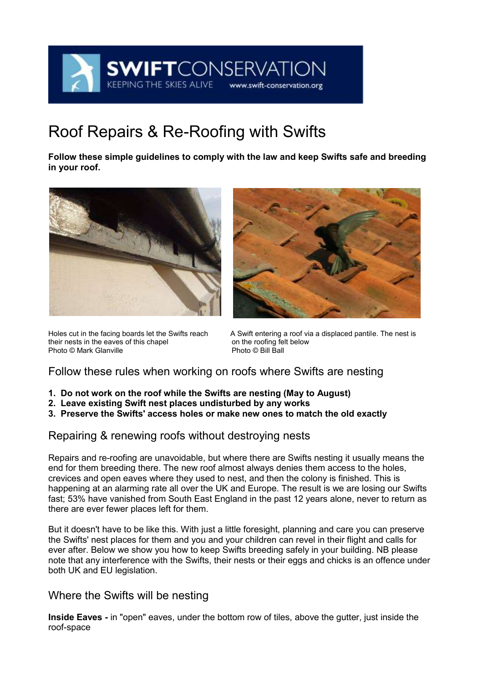

# Roof Repairs & Re-Roofing with Swifts

**Follow these simple guidelines to comply with the law and keep Swifts safe and breeding in your roof.**





their nests in the eaves of this chapel on the roofing felt below the roofing felt below that the roofing felt<br>
Photo © Bill Ball Photo © Mark Glanville

Holes cut in the facing boards let the Swifts reach A Swift entering a roof via a displaced pantile. The nest is their nests in the eaves of this chapel on the roofing felt below

### Follow these rules when working on roofs where Swifts are nesting

- **1. Do not work on the roof while the Swifts are nesting (May to August)**
- **2. Leave existing Swift nest places undisturbed by any works**
- **3. Preserve the Swifts' access holes or make new ones to match the old exactly**

# Repairing & renewing roofs without destroying nests

Repairs and re-roofing are unavoidable, but where there are Swifts nesting it usually means the end for them breeding there. The new roof almost always denies them access to the holes, crevices and open eaves where they used to nest, and then the colony is finished. This is happening at an alarming rate all over the UK and Europe. The result is we are losing our Swifts fast; 53% have vanished from South East England in the past 12 years alone, never to return as there are ever fewer places left for them.

But it doesn't have to be like this. With just a little foresight, planning and care you can preserve the Swifts' nest places for them and you and your children can revel in their flight and calls for ever after. Below we show you how to keep Swifts breeding safely in your building. NB please note that any interference with the Swifts, their nests or their eggs and chicks is an offence under both UK and EU legislation.

### Where the Swifts will be nesting

**Inside Eaves -** in "open" eaves, under the bottom row of tiles, above the gutter, just inside the roof-space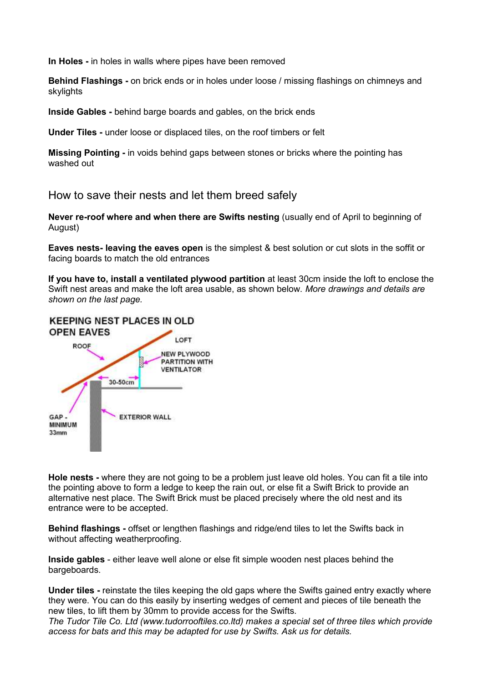**In Holes -** in holes in walls where pipes have been removed

**Behind Flashings -** on brick ends or in holes under loose / missing flashings on chimneys and skylights

**Inside Gables -** behind barge boards and gables, on the brick ends

**Under Tiles -** under loose or displaced tiles, on the roof timbers or felt

**Missing Pointing -** in voids behind gaps between stones or bricks where the pointing has washed out

How to save their nests and let them breed safely

**Never re-roof where and when there are Swifts nesting** (usually end of April to beginning of August)

**Eaves nests- leaving the eaves open** is the simplest & best solution or cut slots in the soffit or facing boards to match the old entrances

**If you have to, install a ventilated plywood partition** at least 30cm inside the loft to enclose the Swift nest areas and make the loft area usable, as shown below. *More drawings and details are shown on the last page.*



**Hole nests -** where they are not going to be a problem just leave old holes. You can fit a tile into the pointing above to form a ledge to keep the rain out, or else fit a Swift Brick to provide an alternative nest place. The Swift Brick must be placed precisely where the old nest and its entrance were to be accepted.

**Behind flashings -** offset or lengthen flashings and ridge/end tiles to let the Swifts back in without affecting weatherproofing.

**Inside gables** - either leave well alone or else fit simple wooden nest places behind the bargeboards.

**Under tiles -** reinstate the tiles keeping the old gaps where the Swifts gained entry exactly where they were. You can do this easily by inserting wedges of cement and pieces of tile beneath the new tiles, to lift them by 30mm to provide access for the Swifts.

*The Tudor Tile Co. Ltd [\(www.tudorrooftiles.co.ltd\)](http://www.tudorrooftiles.co.ltd/) makes a special set of three tiles which provide access for bats and this may be adapted for use by Swifts. Ask us for details.*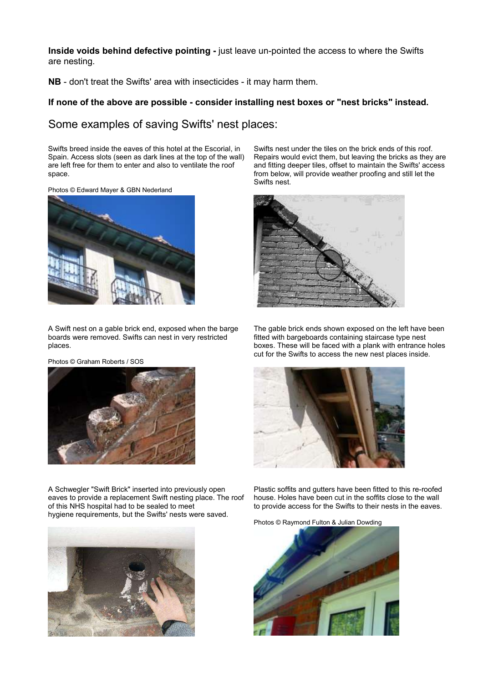**Inside voids behind defective pointing -** just leave un-pointed the access to where the Swifts are nesting.

**NB** - don't treat the Swifts' area with insecticides - it may harm them.

#### **If none of the above are possible - consider installing nest boxes or "nest bricks" instead.**

#### Some examples of saving Swifts' nest places:

Swifts breed inside the eaves of this hotel at the Escorial, in Spain. Access slots (seen as dark lines at the top of the wall) are left free for them to enter and also to ventilate the roof space.

Photos © Edward Mayer & GBN Nederland



A Swift nest on a gable brick end, exposed when the barge boards were removed. Swifts can nest in very restricted places.

Photos © Graham Roberts / SOS



A Schwegler "Swift Brick" inserted into previously open eaves to provide a replacement Swift nesting place. The roof of this NHS hospital had to be sealed to meet hygiene requirements, but the Swifts' nests were saved.



Swifts nest under the tiles on the brick ends of this roof. Repairs would evict them, but leaving the bricks as they are and fitting deeper tiles, offset to maintain the Swifts' access from below, will provide weather proofing and still let the Swifts nest.



The gable brick ends shown exposed on the left have been fitted with bargeboards containing staircase type nest boxes. These will be faced with a plank with entrance holes cut for the Swifts to access the new nest places inside.



Plastic soffits and gutters have been fitted to this re-roofed house. Holes have been cut in the soffits close to the wall to provide access for the Swifts to their nests in the eaves.

Photos © Raymond Fulton & Julian Dowding